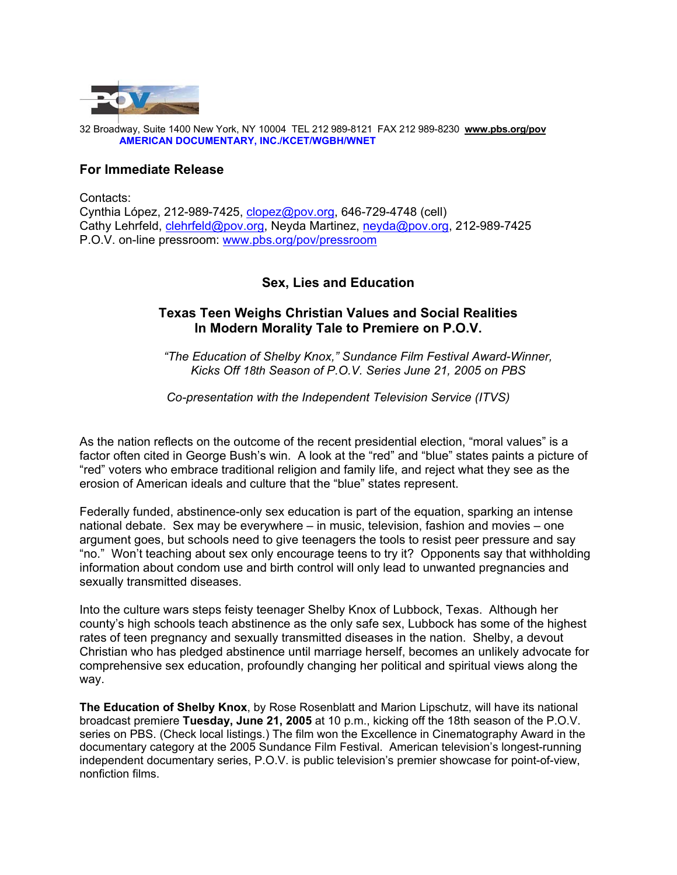

32 Broadway, Suite 1400 New York, NY 10004 TEL 212 989-8121 FAX 212 989-8230 **[www.pbs.org/pov](http://www.pbs.org/pov) AMERICAN DOCUMENTARY, INC./KCET/WGBH/WNET**

# **For Immediate Release**

Contacts: Cynthia López, 212-989-7425, [clopez@pov.org,](mailto:clopez@pov.org) 646-729-4748 (cell) Cathy Lehrfeld, [clehrfeld@pov.org](mailto:clehrfeld@pov.org), Neyda Martinez, [neyda@pov.org](mailto:neyda@pov.org), 212-989-7425 P.O.V. on-line pressroom: [www.pbs.org/pov/pressroom](http://www.pbs.org/pov/pressroom)

# **Sex, Lies and Education**

# **Texas Teen Weighs Christian Values and Social Realities In Modern Morality Tale to Premiere on P.O.V.**

*"The Education of Shelby Knox," Sundance Film Festival Award-Winner, Kicks Off 18th Season of P.O.V. Series June 21, 2005 on PBS* 

*Co-presentation with the Independent Television Service (ITVS)* 

As the nation reflects on the outcome of the recent presidential election, "moral values" is a factor often cited in George Bush's win. A look at the "red" and "blue" states paints a picture of "red" voters who embrace traditional religion and family life, and reject what they see as the erosion of American ideals and culture that the "blue" states represent.

Federally funded, abstinence-only sex education is part of the equation, sparking an intense national debate. Sex may be everywhere – in music, television, fashion and movies – one argument goes, but schools need to give teenagers the tools to resist peer pressure and say "no." Won't teaching about sex only encourage teens to try it? Opponents say that withholding information about condom use and birth control will only lead to unwanted pregnancies and sexually transmitted diseases.

Into the culture wars steps feisty teenager Shelby Knox of Lubbock, Texas. Although her county's high schools teach abstinence as the only safe sex, Lubbock has some of the highest rates of teen pregnancy and sexually transmitted diseases in the nation. Shelby, a devout Christian who has pledged abstinence until marriage herself, becomes an unlikely advocate for comprehensive sex education, profoundly changing her political and spiritual views along the way.

**The Education of Shelby Knox**, by Rose Rosenblatt and Marion Lipschutz, will have its national broadcast premiere **Tuesday, June 21, 2005** at 10 p.m., kicking off the 18th season of the P.O.V. series on PBS. (Check local listings.) The film won the Excellence in Cinematography Award in the documentary category at the 2005 Sundance Film Festival. American television's longest-running independent documentary series, P.O.V. is public television's premier showcase for point-of-view, nonfiction films.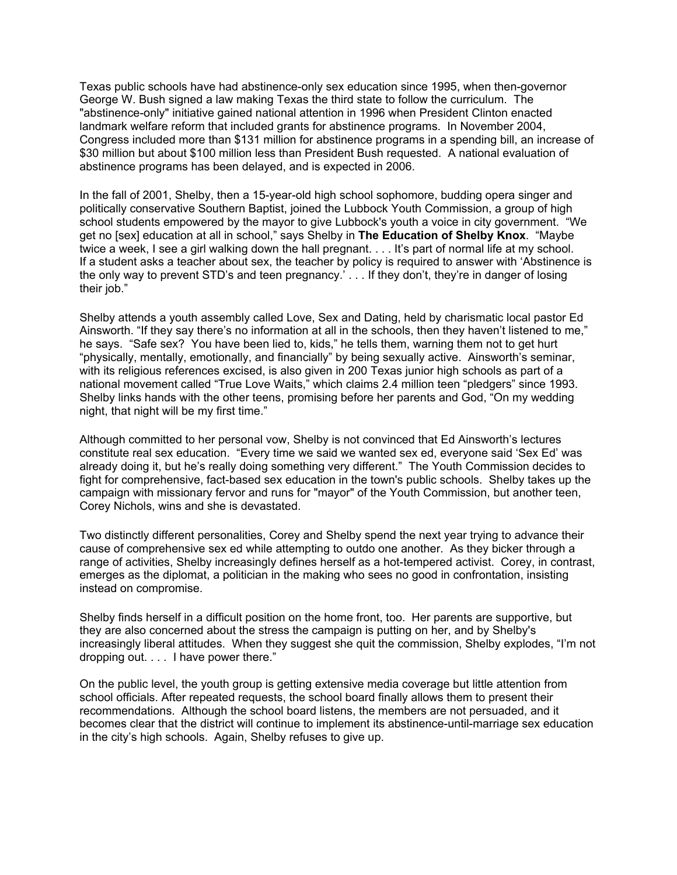Texas public schools have had abstinence-only sex education since 1995, when then-governor George W. Bush signed a law making Texas the third state to follow the curriculum. The "abstinence-only" initiative gained national attention in 1996 when President Clinton enacted landmark welfare reform that included grants for abstinence programs. In November 2004, Congress included more than \$131 million for abstinence programs in a spending bill, an increase of \$30 million but about \$100 million less than President Bush requested. A national evaluation of abstinence programs has been delayed, and is expected in 2006.

In the fall of 2001, Shelby, then a 15-year-old high school sophomore, budding opera singer and politically conservative Southern Baptist, joined the Lubbock Youth Commission, a group of high school students empowered by the mayor to give Lubbock's youth a voice in city government. "We get no [sex] education at all in school," says Shelby in **The Education of Shelby Knox**. "Maybe twice a week, I see a girl walking down the hall pregnant. . . . It's part of normal life at my school. If a student asks a teacher about sex, the teacher by policy is required to answer with 'Abstinence is the only way to prevent STD's and teen pregnancy.' . . . If they don't, they're in danger of losing their job."

Shelby attends a youth assembly called Love, Sex and Dating, held by charismatic local pastor Ed Ainsworth. "If they say there's no information at all in the schools, then they haven't listened to me," he says. "Safe sex? You have been lied to, kids," he tells them, warning them not to get hurt "physically, mentally, emotionally, and financially" by being sexually active. Ainsworth's seminar, with its religious references excised, is also given in 200 Texas junior high schools as part of a national movement called "True Love Waits," which claims 2.4 million teen "pledgers" since 1993. Shelby links hands with the other teens, promising before her parents and God, "On my wedding night, that night will be my first time."

Although committed to her personal vow, Shelby is not convinced that Ed Ainsworth's lectures constitute real sex education. "Every time we said we wanted sex ed, everyone said 'Sex Ed' was already doing it, but he's really doing something very different." The Youth Commission decides to fight for comprehensive, fact-based sex education in the town's public schools. Shelby takes up the campaign with missionary fervor and runs for "mayor" of the Youth Commission, but another teen, Corey Nichols, wins and she is devastated.

Two distinctly different personalities, Corey and Shelby spend the next year trying to advance their cause of comprehensive sex ed while attempting to outdo one another. As they bicker through a range of activities, Shelby increasingly defines herself as a hot-tempered activist. Corey, in contrast, emerges as the diplomat, a politician in the making who sees no good in confrontation, insisting instead on compromise.

Shelby finds herself in a difficult position on the home front, too. Her parents are supportive, but they are also concerned about the stress the campaign is putting on her, and by Shelby's increasingly liberal attitudes. When they suggest she quit the commission, Shelby explodes, "I'm not dropping out. . . . I have power there."

On the public level, the youth group is getting extensive media coverage but little attention from school officials. After repeated requests, the school board finally allows them to present their recommendations. Although the school board listens, the members are not persuaded, and it becomes clear that the district will continue to implement its abstinence-until-marriage sex education in the city's high schools. Again, Shelby refuses to give up.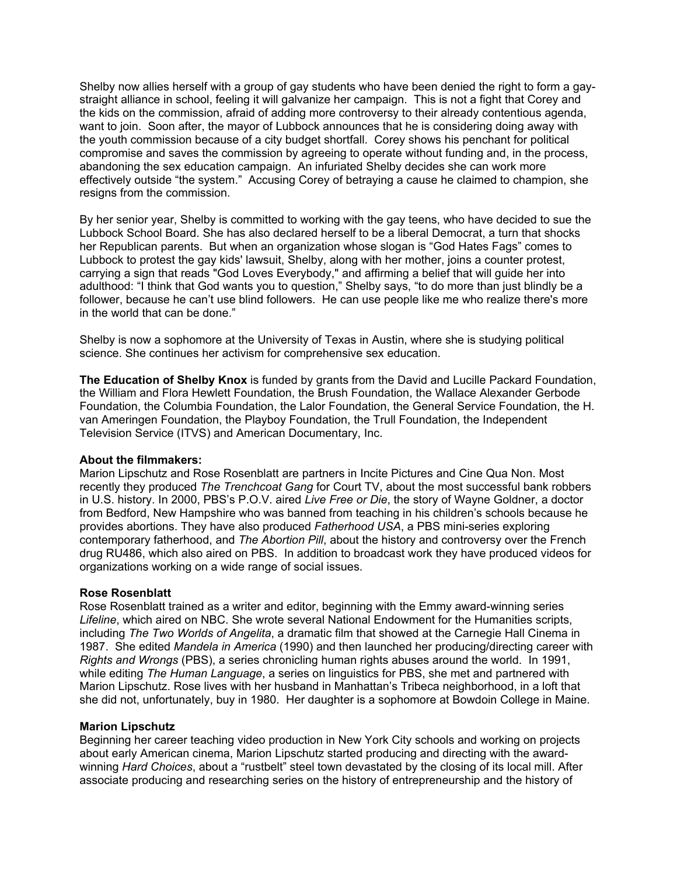Shelby now allies herself with a group of gay students who have been denied the right to form a gaystraight alliance in school, feeling it will galvanize her campaign. This is not a fight that Corey and the kids on the commission, afraid of adding more controversy to their already contentious agenda, want to join. Soon after, the mayor of Lubbock announces that he is considering doing away with the youth commission because of a city budget shortfall. Corey shows his penchant for political compromise and saves the commission by agreeing to operate without funding and, in the process, abandoning the sex education campaign. An infuriated Shelby decides she can work more effectively outside "the system." Accusing Corey of betraying a cause he claimed to champion, she resigns from the commission.

By her senior year, Shelby is committed to working with the gay teens, who have decided to sue the Lubbock School Board. She has also declared herself to be a liberal Democrat, a turn that shocks her Republican parents. But when an organization whose slogan is "God Hates Fags" comes to Lubbock to protest the gay kids' lawsuit, Shelby, along with her mother, joins a counter protest, carrying a sign that reads "God Loves Everybody," and affirming a belief that will guide her into adulthood: "I think that God wants you to question," Shelby says, "to do more than just blindly be a follower, because he can't use blind followers. He can use people like me who realize there's more in the world that can be done."

Shelby is now a sophomore at the University of Texas in Austin, where she is studying political science. She continues her activism for comprehensive sex education.

**The Education of Shelby Knox** is funded by grants from the David and Lucille Packard Foundation, the William and Flora Hewlett Foundation, the Brush Foundation, the Wallace Alexander Gerbode Foundation, the Columbia Foundation, the Lalor Foundation, the General Service Foundation, the H. van Ameringen Foundation, the Playboy Foundation, the Trull Foundation, the Independent Television Service (ITVS) and American Documentary, Inc.

#### **About the filmmakers:**

Marion Lipschutz and Rose Rosenblatt are partners in Incite Pictures and Cine Qua Non. Most recently they produced *The Trenchcoat Gang* for Court TV, about the most successful bank robbers in U.S. history. In 2000, PBS's P.O.V. aired *Live Free or Die*, the story of Wayne Goldner, a doctor from Bedford, New Hampshire who was banned from teaching in his children's schools because he provides abortions. They have also produced *Fatherhood USA*, a PBS mini-series exploring contemporary fatherhood, and *The Abortion Pill*, about the history and controversy over the French drug RU486, which also aired on PBS. In addition to broadcast work they have produced videos for organizations working on a wide range of social issues.

#### **Rose Rosenblatt**

Rose Rosenblatt trained as a writer and editor, beginning with the Emmy award-winning series *Lifeline*, which aired on NBC. She wrote several National Endowment for the Humanities scripts, including *The Two Worlds of Angelita*, a dramatic film that showed at the Carnegie Hall Cinema in 1987. She edited *Mandela in America* (1990) and then launched her producing/directing career with *Rights and Wrongs* (PBS), a series chronicling human rights abuses around the world. In 1991, while editing *The Human Language*, a series on linguistics for PBS, she met and partnered with Marion Lipschutz. Rose lives with her husband in Manhattan's Tribeca neighborhood, in a loft that she did not, unfortunately, buy in 1980. Her daughter is a sophomore at Bowdoin College in Maine.

#### **Marion Lipschutz**

Beginning her career teaching video production in New York City schools and working on projects about early American cinema, Marion Lipschutz started producing and directing with the awardwinning *Hard Choices*, about a "rustbelt" steel town devastated by the closing of its local mill. After associate producing and researching series on the history of entrepreneurship and the history of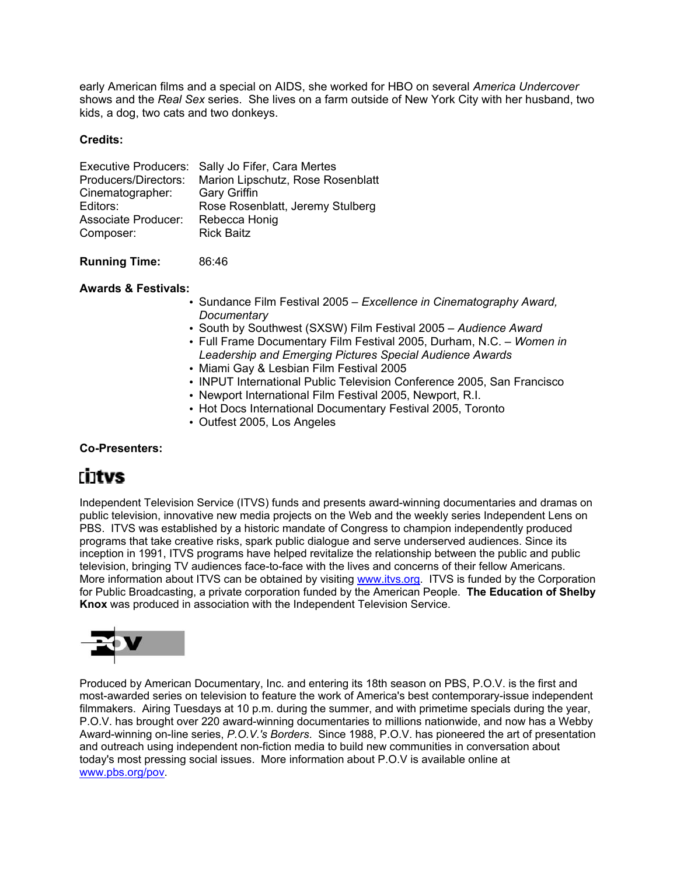early American films and a special on AIDS, she worked for HBO on several *America Undercover*  shows and the *Real Sex* series. She lives on a farm outside of New York City with her husband, two kids, a dog, two cats and two donkeys.

## **Credits:**

|                      | Executive Producers: Sally Jo Fifer, Cara Mertes |
|----------------------|--------------------------------------------------|
| Producers/Directors: | Marion Lipschutz, Rose Rosenblatt                |
| Cinematographer:     | <b>Gary Griffin</b>                              |
| Editors:             | Rose Rosenblatt, Jeremy Stulberg                 |
| Associate Producer:  | Rebecca Honig                                    |
| Composer:            | <b>Rick Baitz</b>                                |

**Running Time:** 86:46

## **Awards & Festivals:**

- Sundance Film Festival 2005 *Excellence in Cinematography Award, Documentary*
- South by Southwest (SXSW) Film Festival 2005 Audience Award
- y Full Frame Documentary Film Festival 2005, Durham, N.C. *Women in Leadership and Emerging Pictures Special Audience Awards*
- Miami Gay & Lesbian Film Festival 2005
- INPUT International Public Television Conference 2005, San Francisco
- Newport International Film Festival 2005, Newport, R.I.
- Hot Docs International Documentary Festival 2005, Toronto
- Outfest 2005, Los Angeles

## **Co-Presenters:**

# **rintvs**

Independent Television Service (ITVS) funds and presents award-winning documentaries and dramas on public television, innovative new media projects on the Web and the weekly series Independent Lens on PBS. ITVS was established by a historic mandate of Congress to champion independently produced programs that take creative risks, spark public dialogue and serve underserved audiences. Since its inception in 1991, ITVS programs have helped revitalize the relationship between the public and public television, bringing TV audiences face-to-face with the lives and concerns of their fellow Americans. More information about ITVS can be obtained by visiting [www.itvs.org.](http://www.itvs.org/) ITVS is funded by the Corporation for Public Broadcasting, a private corporation funded by the American People. **The Education of Shelby Knox** was produced in association with the Independent Television Service.



Produced by American Documentary, Inc. and entering its 18th season on PBS, P.O.V. is the first and most-awarded series on television to feature the work of America's best contemporary-issue independent filmmakers. Airing Tuesdays at 10 p.m. during the summer, and with primetime specials during the year, P.O.V. has brought over 220 award-winning documentaries to millions nationwide, and now has a Webby Award-winning on-line series, *P.O.V.'s Borders*. Since 1988, P.O.V. has pioneered the art of presentation and outreach using independent non-fiction media to build new communities in conversation about today's most pressing social issues. More information about P.O.V is available online at [www.pbs.org/pov.](http://www.pbs.org/pov)